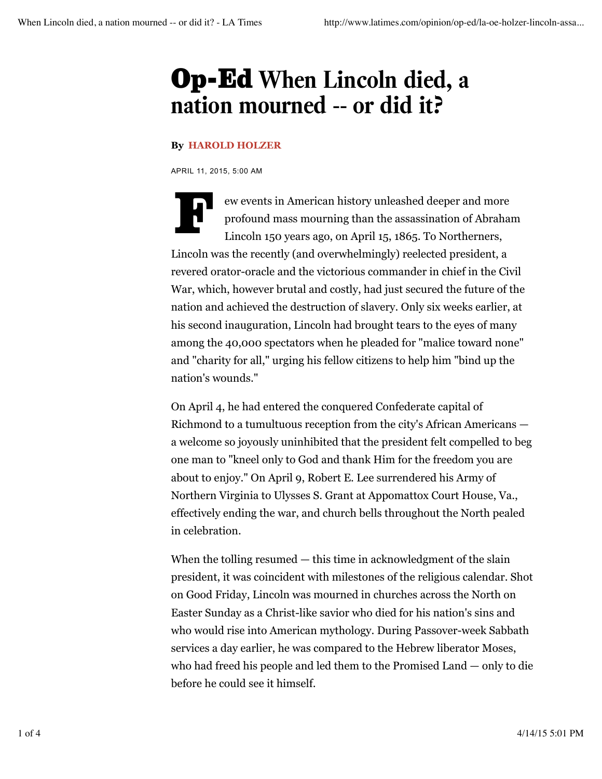## Op-Ed **When Lincoln died, a nation mourned -- or did it?**

## **By HAROLD HOLZER**

APRIL 11, 2015, 5:00 AM

ew events in American history unleashed deeper and more profound mass mourning than the assassination of Abraha<br>Lincoln 150 years ago, on April 15, 1865. To Northerners, profound mass mourning than the assassination of Abraham Lincoln 150 years ago, on April 15, 1865. To Northerners, Lincoln was the recently (and overwhelmingly) reelected president, a revered orator-oracle and the victorious commander in chief in the Civil War, which, however brutal and costly, had just secured the future of the nation and achieved the destruction of slavery. Only six weeks earlier, at his second inauguration, Lincoln had brought tears to the eyes of many among the 40,000 spectators when he pleaded for "malice toward none" and "charity for all," urging his fellow citizens to help him "bind up the nation's wounds."

On April 4, he had entered the conquered Confederate capital of Richmond to a tumultuous reception from the city's African Americans a welcome so joyously uninhibited that the president felt compelled to beg one man to "kneel only to God and thank Him for the freedom you are about to enjoy." On April 9, Robert E. Lee surrendered his Army of Northern Virginia to Ulysses S. Grant at Appomattox Court House, Va., effectively ending the war, and church bells throughout the North pealed in celebration.

When the tolling resumed — this time in acknowledgment of the slain president, it was coincident with milestones of the religious calendar. Shot on Good Friday, Lincoln was mourned in churches across the North on Easter Sunday as a Christ-like savior who died for his nation's sins and who would rise into American mythology. During Passover-week Sabbath services a day earlier, he was compared to the Hebrew liberator Moses, who had freed his people and led them to the Promised Land — only to die before he could see it himself.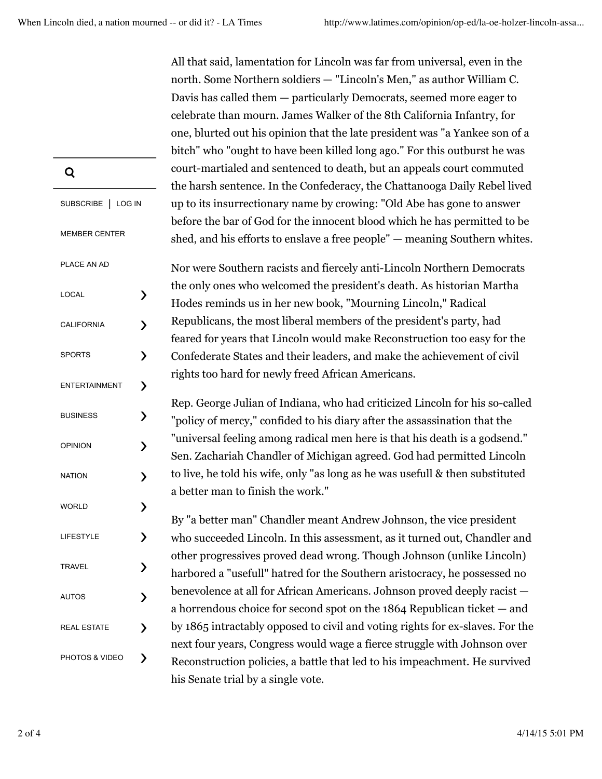All that said, lamentation for Lincoln was far from universal, even in the north. Some Northern soldiers — "Lincoln's Men," as author William C. Davis has called them — particularly Democrats, seemed more eager to celebrate than mourn. James Walker of the 8th California Infantry, for one, blurted out his opinion that the late president was "a Yankee son of a bitch" who "ought to have been killed long ago." For this outburst he was court-martialed and sentenced to death, but an appeals court commuted the harsh sentence. In the Confederacy, the Chattanooga Daily Rebel lived up to its insurrectionary name by crowing: "Old Abe has gone to answer before the bar of God for the innocent blood which he has permitted to be shed, and his efforts to enslave a free people" — meaning Southern whites.

Nor were Southern racists and fiercely anti-Lincoln Northern Democrats the only ones who welcomed the president's death. As historian Martha Hodes reminds us in her new book, "Mourning Lincoln," Radical Republicans, the most liberal members of the president's party, had feared for years that Lincoln would make Reconstruction too easy for the Confederate States and their leaders, and make the achievement of civil rights too hard for newly freed African Americans.

Rep. George Julian of Indiana, who had criticized Lincoln for his so-called "policy of mercy," confided to his diary after the assassination that the "universal feeling among radical men here is that his death is a godsend." Sen. Zachariah Chandler of Michigan agreed. God had permitted Lincoln to live, he told his wife, only "as long as he was usefull & then substituted a better man to finish the work."

By "a better man" Chandler meant Andrew Johnson, the vice president who succeeded Lincoln. In this assessment, as it turned out, Chandler and other progressives proved dead wrong. Though Johnson (unlike Lincoln) harbored a "usefull" hatred for the Southern aristocracy, he possessed no benevolence at all for African Americans. Johnson proved deeply racist a horrendous choice for second spot on the 1864 Republican ticket — and by 1865 intractably opposed to civil and voting rights for ex-slaves. For the next four years, Congress would wage a fierce struggle with Johnson over Reconstruction policies, a battle that led to his impeachment. He survived his Senate trial by a single vote. PHOTOS & VIDEO >

| Q                    |                          |
|----------------------|--------------------------|
| SUBSCRIBE   LOG IN   |                          |
| <b>MEMBER CENTER</b> |                          |
| PLACE AN AD          |                          |
| LOCAL                | ⟩                        |
| <b>CALIFORNIA</b>    | $\mathbf{\lambda}$       |
| <b>SPORTS</b>        | $\mathbf{\lambda}$       |
| <b>ENTERTAINMENT</b> | $\mathbf{\lambda}$       |
| <b>BUSINESS</b>      | $\mathbf{\lambda}$       |
| <b>OPINION</b>       | $\overline{\phantom{1}}$ |
| <b>NATION</b>        | $\mathbf{\mathbf{b}}$    |
| <b>WORLD</b>         | $\mathbf{\lambda}$       |
| LIFESTYLE            | $\overline{\phantom{1}}$ |
| <b>TRAVEL</b>        | ⟩                        |
| AUTOS                | $\mathbf{\mathcal{E}}$   |
| <b>REAL ESTATE</b>   | $\mathbf{\mathcal{P}}$   |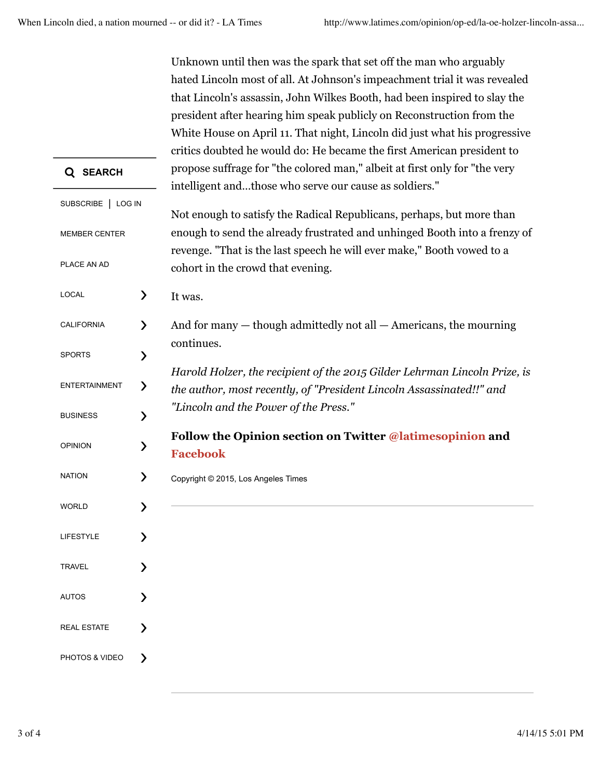|                      |                                                                           | Unknown until then was the spark that set off the man who arguably         |  |
|----------------------|---------------------------------------------------------------------------|----------------------------------------------------------------------------|--|
|                      |                                                                           | hated Lincoln most of all. At Johnson's impeachment trial it was revealed  |  |
|                      | that Lincoln's assassin, John Wilkes Booth, had been inspired to slay the |                                                                            |  |
|                      |                                                                           | president after hearing him speak publicly on Reconstruction from the      |  |
|                      |                                                                           | White House on April 11. That night, Lincoln did just what his progressive |  |
|                      |                                                                           | critics doubted he would do: He became the first American president to     |  |
| Q SEARCH             |                                                                           | propose suffrage for "the colored man," albeit at first only for "the very |  |
|                      |                                                                           | intelligent andthose who serve our cause as soldiers."                     |  |
| SUBSCRIBE   LOG IN   |                                                                           |                                                                            |  |
|                      |                                                                           | Not enough to satisfy the Radical Republicans, perhaps, but more than      |  |
| <b>MEMBER CENTER</b> |                                                                           | enough to send the already frustrated and unhinged Booth into a frenzy of  |  |
|                      |                                                                           | revenge. "That is the last speech he will ever make," Booth vowed to a     |  |
| PLACE AN AD          |                                                                           | cohort in the crowd that evening.                                          |  |
| LOCAL                | ⟩                                                                         | It was.                                                                    |  |
| <b>CALIFORNIA</b>    | $\mathcal Y$                                                              | And for many - though admittedly not all - Americans, the mourning         |  |
|                      |                                                                           | continues.                                                                 |  |
| <b>SPORTS</b>        | ⟩                                                                         |                                                                            |  |
|                      |                                                                           | Harold Holzer, the recipient of the 2015 Gilder Lehrman Lincoln Prize, is  |  |
| <b>ENTERTAINMENT</b> | $\mathcal Y$                                                              | the author, most recently, of "President Lincoln Assassinated!!" and       |  |
| <b>BUSINESS</b>      | ゝ                                                                         | "Lincoln and the Power of the Press."                                      |  |
|                      |                                                                           | Follow the Opinion section on Twitter @latimesopinion and                  |  |
| <b>OPINION</b>       | ⟩                                                                         | <b>Facebook</b>                                                            |  |
|                      |                                                                           |                                                                            |  |
| <b>NATION</b>        | ゝ                                                                         | Copyright © 2015, Los Angeles Times                                        |  |
| <b>WORLD</b>         |                                                                           |                                                                            |  |
|                      |                                                                           |                                                                            |  |
| <b>LIFESTYLE</b>     |                                                                           |                                                                            |  |
|                      |                                                                           |                                                                            |  |
| <b>TRAVEL</b>        |                                                                           |                                                                            |  |
| <b>AUTOS</b>         |                                                                           |                                                                            |  |
|                      |                                                                           |                                                                            |  |
| <b>REAL ESTATE</b>   | እ                                                                         |                                                                            |  |
|                      |                                                                           |                                                                            |  |
| PHOTOS & VIDEO       | ▸                                                                         |                                                                            |  |